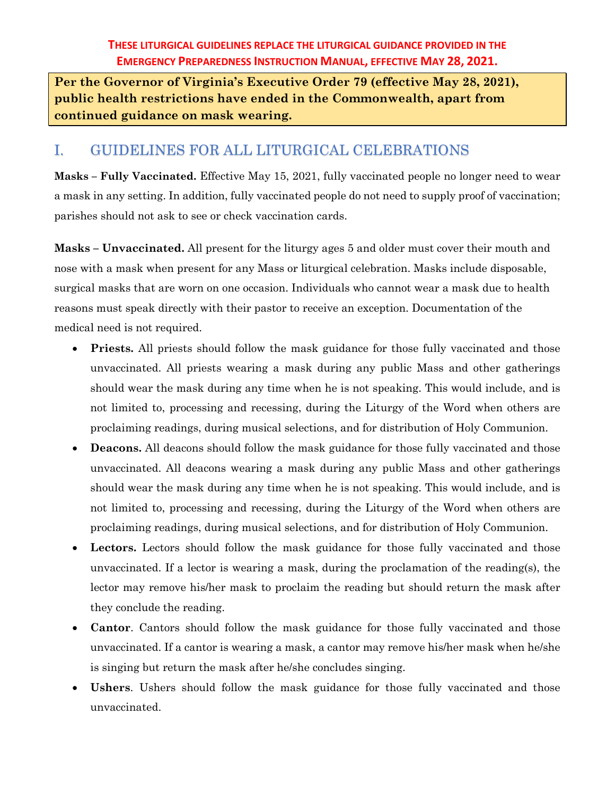**Per the Governor of Virginia's Executive Order 79 (effective May 28, 2021), public health restrictions have ended in the Commonwealth, apart from continued guidance on mask wearing.**

# I. GUIDELINES FOR ALL LITURGICAL CELEBRATIONS

**Masks – Fully Vaccinated.** Effective May 15, 2021, fully vaccinated people no longer need to wear a mask in any setting. In addition, fully vaccinated people do not need to supply proof of vaccination; parishes should not ask to see or check vaccination cards.

**Masks – Unvaccinated.** All present for the liturgy ages 5 and older must cover their mouth and nose with a mask when present for any Mass or liturgical celebration. Masks include disposable, surgical masks that are worn on one occasion. Individuals who cannot wear a mask due to health reasons must speak directly with their pastor to receive an exception. Documentation of the medical need is not required.

- **Priests.** All priests should follow the mask guidance for those fully vaccinated and those unvaccinated. All priests wearing a mask during any public Mass and other gatherings should wear the mask during any time when he is not speaking. This would include, and is not limited to, processing and recessing, during the Liturgy of the Word when others are proclaiming readings, during musical selections, and for distribution of Holy Communion.
- **Deacons.** All deacons should follow the mask guidance for those fully vaccinated and those unvaccinated. All deacons wearing a mask during any public Mass and other gatherings should wear the mask during any time when he is not speaking. This would include, and is not limited to, processing and recessing, during the Liturgy of the Word when others are proclaiming readings, during musical selections, and for distribution of Holy Communion.
- **Lectors.** Lectors should follow the mask guidance for those fully vaccinated and those unvaccinated. If a lector is wearing a mask, during the proclamation of the reading(s), the lector may remove his/her mask to proclaim the reading but should return the mask after they conclude the reading.
- **Cantor**. Cantors should follow the mask guidance for those fully vaccinated and those unvaccinated. If a cantor is wearing a mask, a cantor may remove his/her mask when he/she is singing but return the mask after he/she concludes singing.
- Ushers. Ushers should follow the mask guidance for those fully vaccinated and those unvaccinated.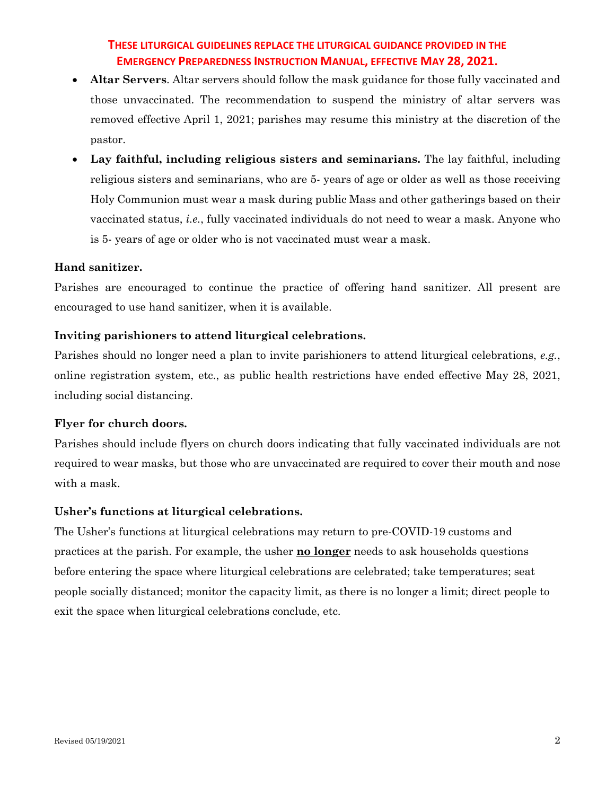- **Altar Servers**. Altar servers should follow the mask guidance for those fully vaccinated and those unvaccinated. The recommendation to suspend the ministry of altar servers was removed effective April 1, 2021; parishes may resume this ministry at the discretion of the pastor.
- **Lay faithful, including religious sisters and seminarians.** The lay faithful, including religious sisters and seminarians, who are 5- years of age or older as well as those receiving Holy Communion must wear a mask during public Mass and other gatherings based on their vaccinated status, *i.e.*, fully vaccinated individuals do not need to wear a mask. Anyone who is 5- years of age or older who is not vaccinated must wear a mask.

#### **Hand sanitizer.**

Parishes are encouraged to continue the practice of offering hand sanitizer. All present are encouraged to use hand sanitizer, when it is available.

#### **Inviting parishioners to attend liturgical celebrations.**

Parishes should no longer need a plan to invite parishioners to attend liturgical celebrations, *e.g.*, online registration system, etc., as public health restrictions have ended effective May 28, 2021, including social distancing.

#### **Flyer for church doors.**

Parishes should include flyers on church doors indicating that fully vaccinated individuals are not required to wear masks, but those who are unvaccinated are required to cover their mouth and nose with a mask.

#### **Usher's functions at liturgical celebrations.**

The Usher's functions at liturgical celebrations may return to pre-COVID-19 customs and practices at the parish. For example, the usher **no longer** needs to ask households questions before entering the space where liturgical celebrations are celebrated; take temperatures; seat people socially distanced; monitor the capacity limit, as there is no longer a limit; direct people to exit the space when liturgical celebrations conclude, etc.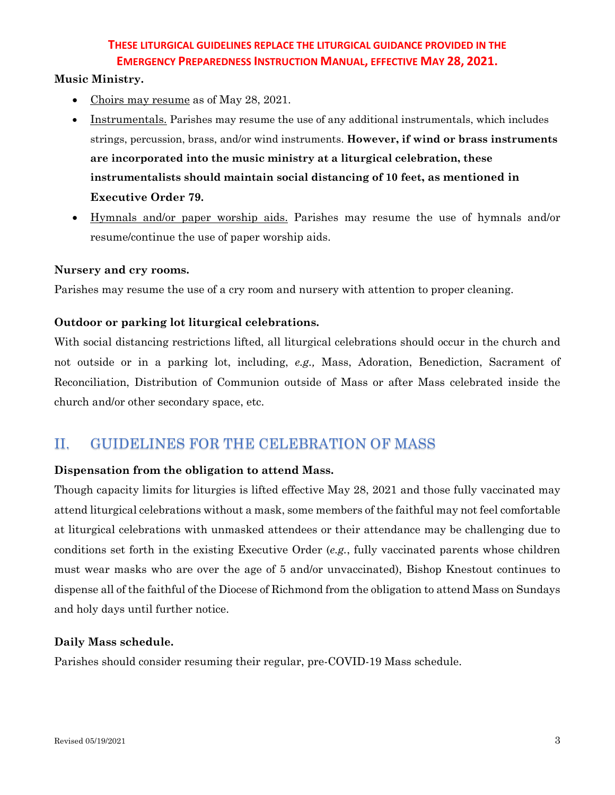#### **Music Ministry.**

- Choirs may resume as of May 28, 2021.
- Instrumentals. Parishes may resume the use of any additional instrumentals, which includes strings, percussion, brass, and/or wind instruments. **However, if wind or brass instruments are incorporated into the music ministry at a liturgical celebration, these instrumentalists should maintain social distancing of 10 feet, as mentioned in Executive Order 79.**
- Hymnals and/or paper worship aids. Parishes may resume the use of hymnals and/or resume/continue the use of paper worship aids.

#### **Nursery and cry rooms.**

Parishes may resume the use of a cry room and nursery with attention to proper cleaning.

#### **Outdoor or parking lot liturgical celebrations.**

With social distancing restrictions lifted, all liturgical celebrations should occur in the church and not outside or in a parking lot, including, *e.g.,* Mass, Adoration, Benediction, Sacrament of Reconciliation, Distribution of Communion outside of Mass or after Mass celebrated inside the church and/or other secondary space, etc.

# II. GUIDELINES FOR THE CELEBRATION OF MASS

#### **Dispensation from the obligation to attend Mass.**

Though capacity limits for liturgies is lifted effective May 28, 2021 and those fully vaccinated may attend liturgical celebrations without a mask, some members of the faithful may not feel comfortable at liturgical celebrations with unmasked attendees or their attendance may be challenging due to conditions set forth in the existing Executive Order (*e.g.*, fully vaccinated parents whose children must wear masks who are over the age of 5 and/or unvaccinated), Bishop Knestout continues to dispense all of the faithful of the Diocese of Richmond from the obligation to attend Mass on Sundays and holy days until further notice.

#### **Daily Mass schedule.**

Parishes should consider resuming their regular, pre-COVID-19 Mass schedule.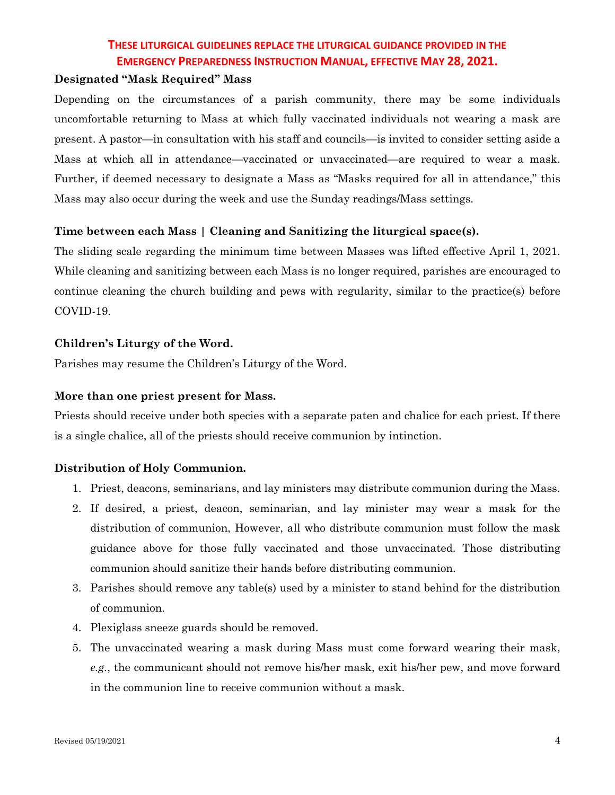#### **Designated "Mask Required" Mass**

Depending on the circumstances of a parish community, there may be some individuals uncomfortable returning to Mass at which fully vaccinated individuals not wearing a mask are present. A pastor—in consultation with his staff and councils—is invited to consider setting aside a Mass at which all in attendance—vaccinated or unvaccinated—are required to wear a mask. Further, if deemed necessary to designate a Mass as "Masks required for all in attendance," this Mass may also occur during the week and use the Sunday readings/Mass settings.

#### **Time between each Mass | Cleaning and Sanitizing the liturgical space(s).**

The sliding scale regarding the minimum time between Masses was lifted effective April 1, 2021. While cleaning and sanitizing between each Mass is no longer required, parishes are encouraged to continue cleaning the church building and pews with regularity, similar to the practice(s) before COVID-19.

#### **Children's Liturgy of the Word.**

Parishes may resume the Children's Liturgy of the Word.

#### **More than one priest present for Mass.**

Priests should receive under both species with a separate paten and chalice for each priest. If there is a single chalice, all of the priests should receive communion by intinction.

#### **Distribution of Holy Communion.**

- 1. Priest, deacons, seminarians, and lay ministers may distribute communion during the Mass.
- 2. If desired, a priest, deacon, seminarian, and lay minister may wear a mask for the distribution of communion, However, all who distribute communion must follow the mask guidance above for those fully vaccinated and those unvaccinated. Those distributing communion should sanitize their hands before distributing communion.
- 3. Parishes should remove any table(s) used by a minister to stand behind for the distribution of communion.
- 4. Plexiglass sneeze guards should be removed.
- 5. The unvaccinated wearing a mask during Mass must come forward wearing their mask, *e.g.*, the communicant should not remove his/her mask, exit his/her pew, and move forward in the communion line to receive communion without a mask.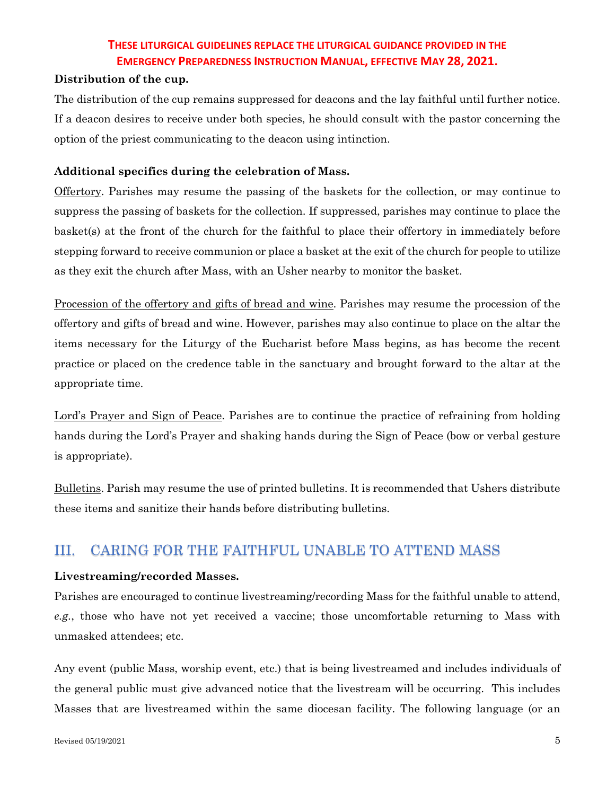#### **Distribution of the cup.**

The distribution of the cup remains suppressed for deacons and the lay faithful until further notice. If a deacon desires to receive under both species, he should consult with the pastor concerning the option of the priest communicating to the deacon using intinction.

#### **Additional specifics during the celebration of Mass.**

Offertory. Parishes may resume the passing of the baskets for the collection, or may continue to suppress the passing of baskets for the collection. If suppressed, parishes may continue to place the basket(s) at the front of the church for the faithful to place their offertory in immediately before stepping forward to receive communion or place a basket at the exit of the church for people to utilize as they exit the church after Mass, with an Usher nearby to monitor the basket.

Procession of the offertory and gifts of bread and wine. Parishes may resume the procession of the offertory and gifts of bread and wine. However, parishes may also continue to place on the altar the items necessary for the Liturgy of the Eucharist before Mass begins, as has become the recent practice or placed on the credence table in the sanctuary and brought forward to the altar at the appropriate time.

Lord's Prayer and Sign of Peace. Parishes are to continue the practice of refraining from holding hands during the Lord's Prayer and shaking hands during the Sign of Peace (bow or verbal gesture is appropriate).

Bulletins. Parish may resume the use of printed bulletins. It is recommended that Ushers distribute these items and sanitize their hands before distributing bulletins.

# III. CARING FOR THE FAITHFUL UNABLE TO ATTEND MASS

#### **Livestreaming/recorded Masses.**

Parishes are encouraged to continue livestreaming/recording Mass for the faithful unable to attend, *e.g.*, those who have not yet received a vaccine; those uncomfortable returning to Mass with unmasked attendees; etc.

Any event (public Mass, worship event, etc.) that is being livestreamed and includes individuals of the general public must give advanced notice that the livestream will be occurring. This includes Masses that are livestreamed within the same diocesan facility. The following language (or an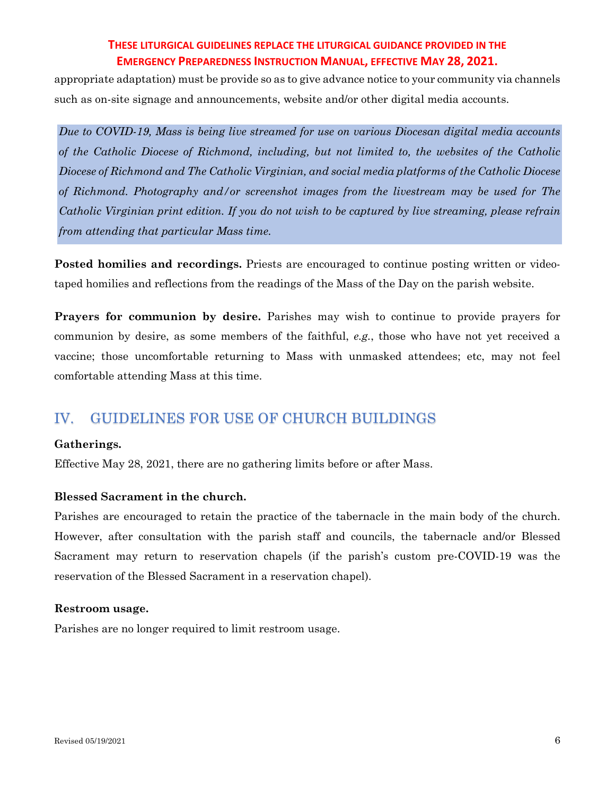appropriate adaptation) must be provide so as to give advance notice to your community via channels such as on-site signage and announcements, website and/or other digital media accounts.

*Due to COVID-19, Mass is being live streamed for use on various Diocesan digital media accounts of the Catholic Diocese of Richmond, including, but not limited to, the websites of the Catholic Diocese of Richmond and The Catholic Virginian, and social media platforms of the Catholic Diocese of Richmond. Photography and/or screenshot images from the livestream may be used for The Catholic Virginian print edition. If you do not wish to be captured by live streaming, please refrain from attending that particular Mass time.*

Posted homilies and recordings. Priests are encouraged to continue posting written or videotaped homilies and reflections from the readings of the Mass of the Day on the parish website.

**Prayers for communion by desire.** Parishes may wish to continue to provide prayers for communion by desire, as some members of the faithful, *e.g.*, those who have not yet received a vaccine; those uncomfortable returning to Mass with unmasked attendees; etc, may not feel comfortable attending Mass at this time.

# IV. GUIDELINES FOR USE OF CHURCH BUILDINGS

#### **Gatherings.**

Effective May 28, 2021, there are no gathering limits before or after Mass.

#### **Blessed Sacrament in the church.**

Parishes are encouraged to retain the practice of the tabernacle in the main body of the church. However, after consultation with the parish staff and councils, the tabernacle and/or Blessed Sacrament may return to reservation chapels (if the parish's custom pre-COVID-19 was the reservation of the Blessed Sacrament in a reservation chapel).

#### **Restroom usage.**

Parishes are no longer required to limit restroom usage.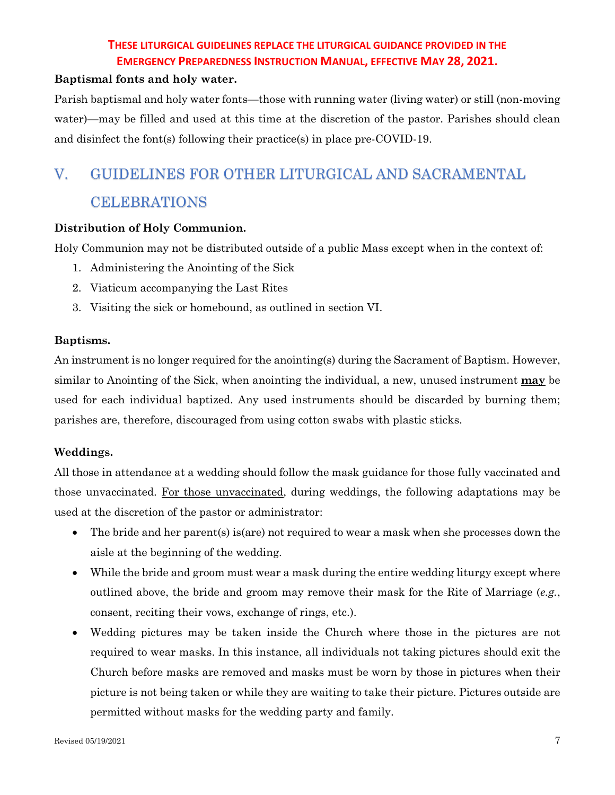#### **Baptismal fonts and holy water.**

Parish baptismal and holy water fonts—those with running water (living water) or still (non-moving water)—may be filled and used at this time at the discretion of the pastor. Parishes should clean and disinfect the font(s) following their practice(s) in place pre-COVID-19.

# V. GUIDELINES FOR OTHER LITURGICAL AND SACRAMENTAL CELEBRATIONS

#### **Distribution of Holy Communion.**

Holy Communion may not be distributed outside of a public Mass except when in the context of:

- 1. Administering the Anointing of the Sick
- 2. Viaticum accompanying the Last Rites
- 3. Visiting the sick or homebound, as outlined in section VI.

#### **Baptisms.**

An instrument is no longer required for the anointing(s) during the Sacrament of Baptism. However, similar to Anointing of the Sick, when anointing the individual, a new, unused instrument **may** be used for each individual baptized. Any used instruments should be discarded by burning them; parishes are, therefore, discouraged from using cotton swabs with plastic sticks.

#### **Weddings.**

All those in attendance at a wedding should follow the mask guidance for those fully vaccinated and those unvaccinated. For those unvaccinated, during weddings, the following adaptations may be used at the discretion of the pastor or administrator:

- The bride and her parent(s) is(are) not required to wear a mask when she processes down the aisle at the beginning of the wedding.
- While the bride and groom must wear a mask during the entire wedding liturgy except where outlined above, the bride and groom may remove their mask for the Rite of Marriage (*e.g.*, consent, reciting their vows, exchange of rings, etc.).
- Wedding pictures may be taken inside the Church where those in the pictures are not required to wear masks. In this instance, all individuals not taking pictures should exit the Church before masks are removed and masks must be worn by those in pictures when their picture is not being taken or while they are waiting to take their picture. Pictures outside are permitted without masks for the wedding party and family.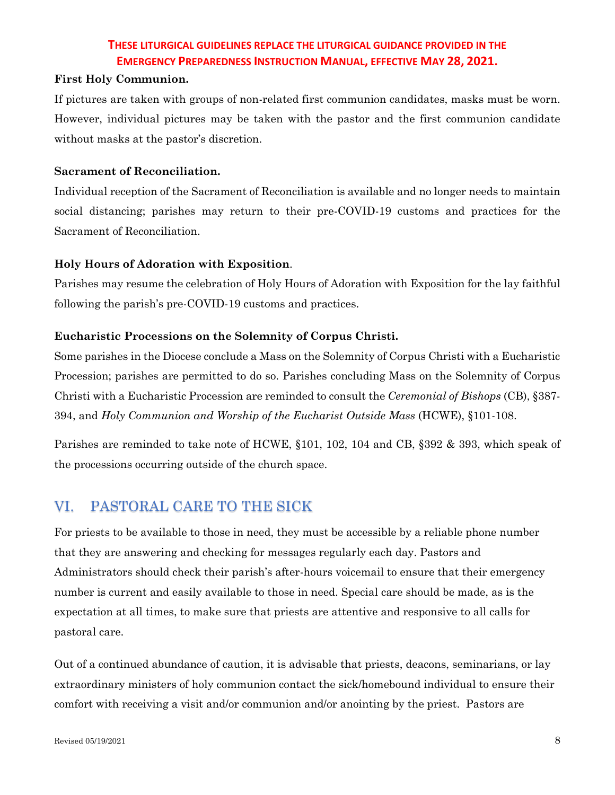#### **First Holy Communion.**

If pictures are taken with groups of non-related first communion candidates, masks must be worn. However, individual pictures may be taken with the pastor and the first communion candidate without masks at the pastor's discretion.

#### **Sacrament of Reconciliation.**

Individual reception of the Sacrament of Reconciliation is available and no longer needs to maintain social distancing; parishes may return to their pre-COVID-19 customs and practices for the Sacrament of Reconciliation.

#### **Holy Hours of Adoration with Exposition**.

Parishes may resume the celebration of Holy Hours of Adoration with Exposition for the lay faithful following the parish's pre-COVID-19 customs and practices.

#### **Eucharistic Processions on the Solemnity of Corpus Christi.**

Some parishes in the Diocese conclude a Mass on the Solemnity of Corpus Christi with a Eucharistic Procession; parishes are permitted to do so. Parishes concluding Mass on the Solemnity of Corpus Christi with a Eucharistic Procession are reminded to consult the *Ceremonial of Bishops* (CB), §387- 394, and *Holy Communion and Worship of the Eucharist Outside Mass* (HCWE), §101-108.

Parishes are reminded to take note of HCWE, §101, 102, 104 and CB, §392 & 393, which speak of the processions occurring outside of the church space.

# VI. PASTORAL CARE TO THE SICK

For priests to be available to those in need, they must be accessible by a reliable phone number that they are answering and checking for messages regularly each day. Pastors and Administrators should check their parish's after-hours voicemail to ensure that their emergency number is current and easily available to those in need. Special care should be made, as is the expectation at all times, to make sure that priests are attentive and responsive to all calls for pastoral care.

Out of a continued abundance of caution, it is advisable that priests, deacons, seminarians, or lay extraordinary ministers of holy communion contact the sick/homebound individual to ensure their comfort with receiving a visit and/or communion and/or anointing by the priest. Pastors are